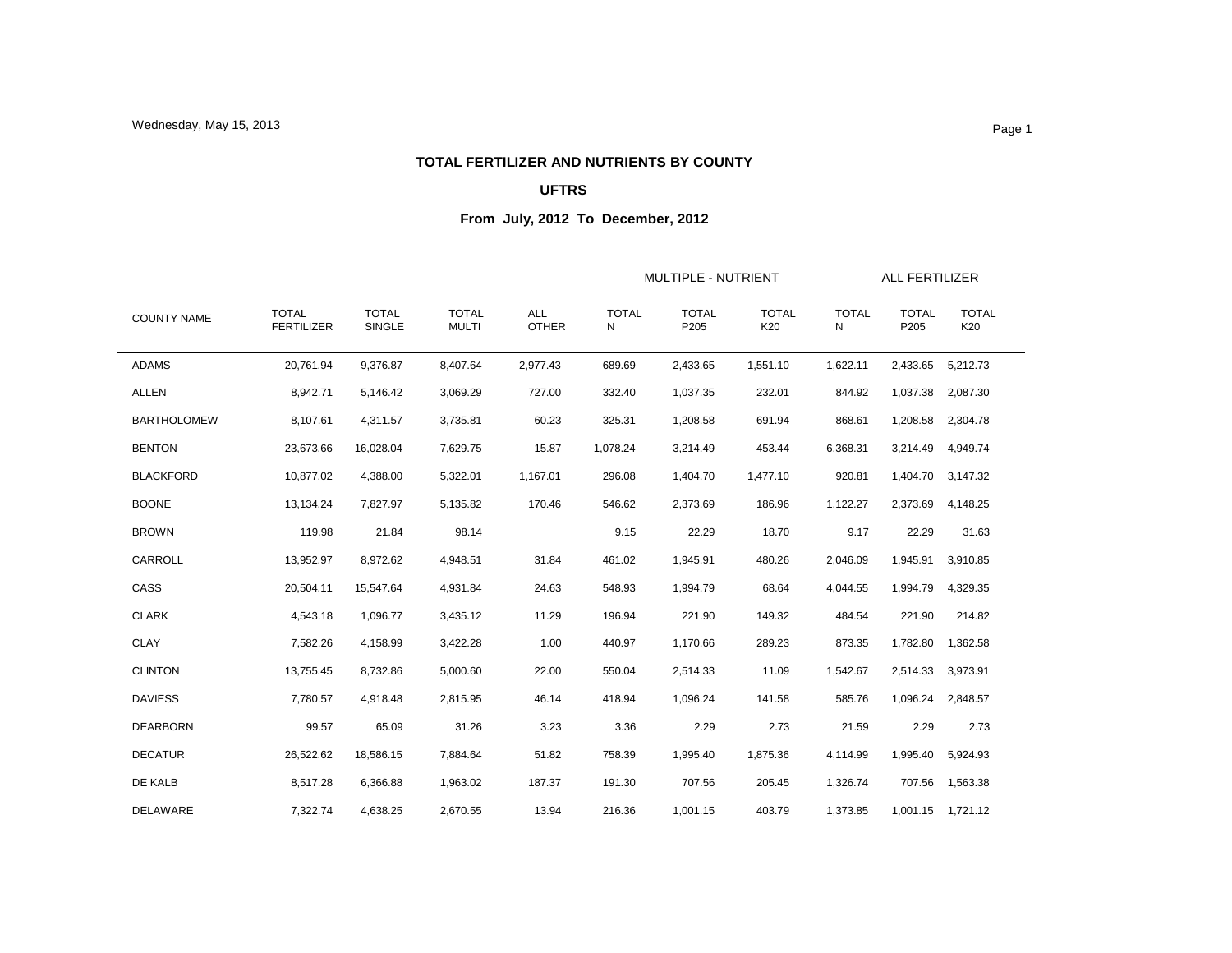### **TOTAL FERTILIZER AND NUTRIENTS BY COUNTY**

## **UFTRS**

|                    |                                   |                        |                              |                            |                   | MULTIPLE - NUTRIENT  |                     | <b>ALL FERTILIZER</b> |                      |                     |
|--------------------|-----------------------------------|------------------------|------------------------------|----------------------------|-------------------|----------------------|---------------------|-----------------------|----------------------|---------------------|
| <b>COUNTY NAME</b> | <b>TOTAL</b><br><b>FERTILIZER</b> | <b>TOTAL</b><br>SINGLE | <b>TOTAL</b><br><b>MULTI</b> | <b>ALL</b><br><b>OTHER</b> | <b>TOTAL</b><br>N | <b>TOTAL</b><br>P205 | <b>TOTAL</b><br>K20 | <b>TOTAL</b><br>N     | <b>TOTAL</b><br>P205 | <b>TOTAL</b><br>K20 |
| <b>ADAMS</b>       | 20,761.94                         | 9,376.87               | 8,407.64                     | 2,977.43                   | 689.69            | 2,433.65             | 1,551.10            | 1,622.11              | 2,433.65             | 5,212.73            |
| <b>ALLEN</b>       | 8,942.71                          | 5,146.42               | 3,069.29                     | 727.00                     | 332.40            | 1,037.35             | 232.01              | 844.92                | 1,037.38             | 2,087.30            |
| <b>BARTHOLOMEW</b> | 8,107.61                          | 4,311.57               | 3,735.81                     | 60.23                      | 325.31            | 1,208.58             | 691.94              | 868.61                | 1,208.58             | 2,304.78            |
| <b>BENTON</b>      | 23,673.66                         | 16,028.04              | 7,629.75                     | 15.87                      | 1,078.24          | 3,214.49             | 453.44              | 6,368.31              | 3,214.49             | 4,949.74            |
| <b>BLACKFORD</b>   | 10,877.02                         | 4,388.00               | 5,322.01                     | 1,167.01                   | 296.08            | 1,404.70             | 1,477.10            | 920.81                | 1,404.70             | 3,147.32            |
| <b>BOONE</b>       | 13,134.24                         | 7,827.97               | 5,135.82                     | 170.46                     | 546.62            | 2,373.69             | 186.96              | 1,122.27              | 2,373.69             | 4,148.25            |
| <b>BROWN</b>       | 119.98                            | 21.84                  | 98.14                        |                            | 9.15              | 22.29                | 18.70               | 9.17                  | 22.29                | 31.63               |
| CARROLL            | 13,952.97                         | 8,972.62               | 4,948.51                     | 31.84                      | 461.02            | 1,945.91             | 480.26              | 2,046.09              | 1,945.91             | 3,910.85            |
| CASS               | 20,504.11                         | 15,547.64              | 4,931.84                     | 24.63                      | 548.93            | 1,994.79             | 68.64               | 4,044.55              | 1,994.79             | 4,329.35            |
| <b>CLARK</b>       | 4,543.18                          | 1,096.77               | 3,435.12                     | 11.29                      | 196.94            | 221.90               | 149.32              | 484.54                | 221.90               | 214.82              |
| <b>CLAY</b>        | 7,582.26                          | 4,158.99               | 3,422.28                     | 1.00                       | 440.97            | 1,170.66             | 289.23              | 873.35                | 1,782.80             | 1,362.58            |
| <b>CLINTON</b>     | 13,755.45                         | 8,732.86               | 5,000.60                     | 22.00                      | 550.04            | 2,514.33             | 11.09               | 1,542.67              | 2,514.33             | 3,973.91            |
| <b>DAVIESS</b>     | 7,780.57                          | 4,918.48               | 2,815.95                     | 46.14                      | 418.94            | 1,096.24             | 141.58              | 585.76                | 1,096.24             | 2,848.57            |
| <b>DEARBORN</b>    | 99.57                             | 65.09                  | 31.26                        | 3.23                       | 3.36              | 2.29                 | 2.73                | 21.59                 | 2.29                 | 2.73                |
| <b>DECATUR</b>     | 26,522.62                         | 18,586.15              | 7,884.64                     | 51.82                      | 758.39            | 1,995.40             | 1,875.36            | 4,114.99              | 1,995.40             | 5,924.93            |
| DE KALB            | 8,517.28                          | 6,366.88               | 1,963.02                     | 187.37                     | 191.30            | 707.56               | 205.45              | 1,326.74              | 707.56               | 1,563.38            |
| <b>DELAWARE</b>    | 7,322.74                          | 4,638.25               | 2,670.55                     | 13.94                      | 216.36            | 1,001.15             | 403.79              | 1,373.85              |                      | 1,001.15 1,721.12   |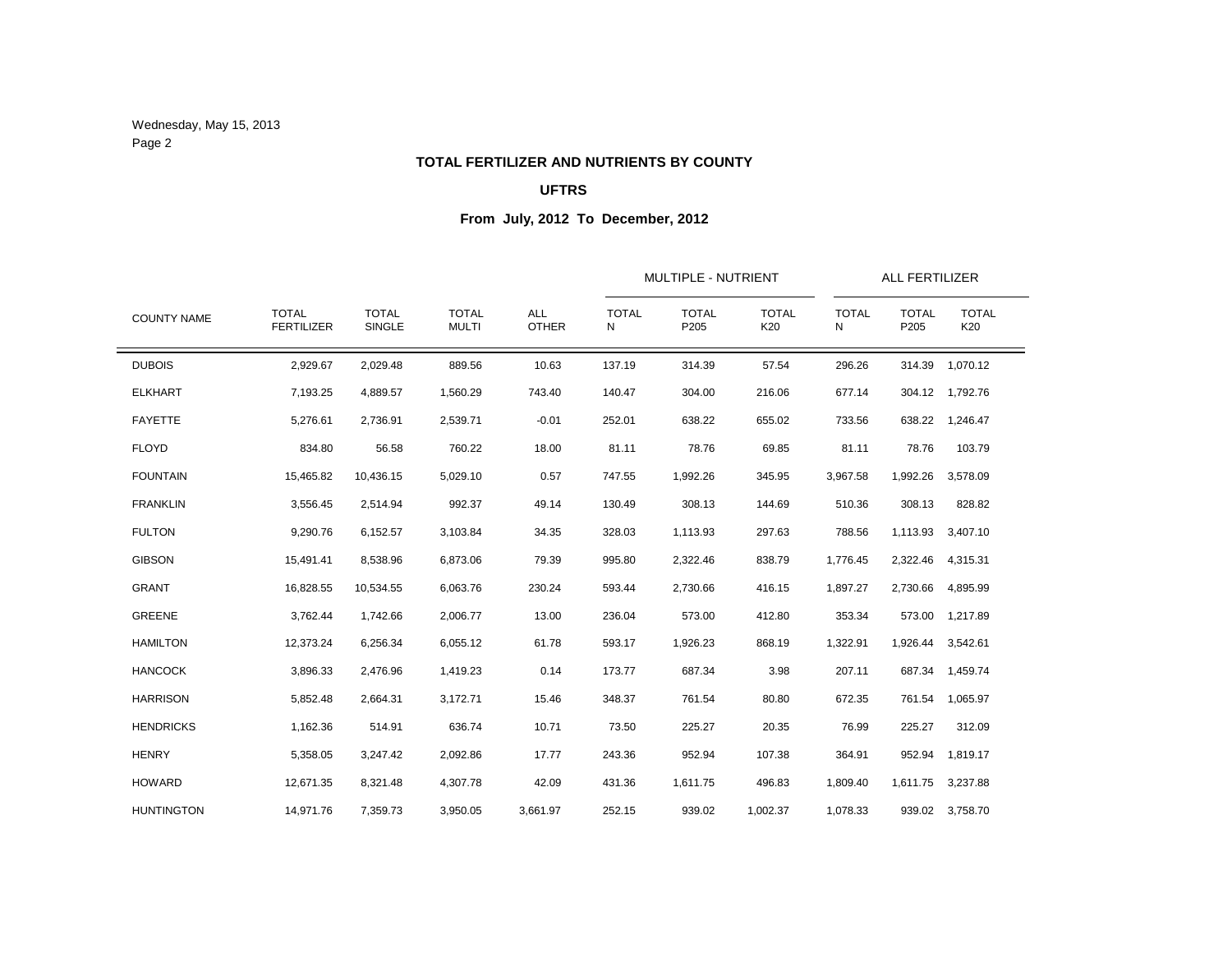Wednesday, May 15, 2013 Page 2

### **TOTAL FERTILIZER AND NUTRIENTS BY COUNTY**

## **UFTRS**

|                    |                                   |                        | <b>TOTAL</b><br><b>MULTI</b> | <b>ALL</b><br><b>OTHER</b> |                   | MULTIPLE - NUTRIENT  |                     |                   | <b>ALL FERTILIZER</b> |                     |
|--------------------|-----------------------------------|------------------------|------------------------------|----------------------------|-------------------|----------------------|---------------------|-------------------|-----------------------|---------------------|
| <b>COUNTY NAME</b> | <b>TOTAL</b><br><b>FERTILIZER</b> | <b>TOTAL</b><br>SINGLE |                              |                            | <b>TOTAL</b><br>N | <b>TOTAL</b><br>P205 | <b>TOTAL</b><br>K20 | <b>TOTAL</b><br>N | <b>TOTAL</b><br>P205  | <b>TOTAL</b><br>K20 |
| <b>DUBOIS</b>      | 2,929.67                          | 2,029.48               | 889.56                       | 10.63                      | 137.19            | 314.39               | 57.54               | 296.26            | 314.39                | 1,070.12            |
| <b>ELKHART</b>     | 7,193.25                          | 4,889.57               | 1,560.29                     | 743.40                     | 140.47            | 304.00               | 216.06              | 677.14            | 304.12                | 1,792.76            |
| <b>FAYETTE</b>     | 5,276.61                          | 2,736.91               | 2,539.71                     | $-0.01$                    | 252.01            | 638.22               | 655.02              | 733.56            | 638.22                | 1,246.47            |
| <b>FLOYD</b>       | 834.80                            | 56.58                  | 760.22                       | 18.00                      | 81.11             | 78.76                | 69.85               | 81.11             | 78.76                 | 103.79              |
| <b>FOUNTAIN</b>    | 15,465.82                         | 10,436.15              | 5,029.10                     | 0.57                       | 747.55            | 1,992.26             | 345.95              | 3,967.58          | 1,992.26              | 3,578.09            |
| <b>FRANKLIN</b>    | 3,556.45                          | 2,514.94               | 992.37                       | 49.14                      | 130.49            | 308.13               | 144.69              | 510.36            | 308.13                | 828.82              |
| <b>FULTON</b>      | 9,290.76                          | 6,152.57               | 3,103.84                     | 34.35                      | 328.03            | 1,113.93             | 297.63              | 788.56            | 1,113.93              | 3,407.10            |
| <b>GIBSON</b>      | 15,491.41                         | 8,538.96               | 6,873.06                     | 79.39                      | 995.80            | 2,322.46             | 838.79              | 1,776.45          | 2,322.46              | 4,315.31            |
| <b>GRANT</b>       | 16,828.55                         | 10,534.55              | 6,063.76                     | 230.24                     | 593.44            | 2,730.66             | 416.15              | 1,897.27          | 2,730.66              | 4,895.99            |
| <b>GREENE</b>      | 3,762.44                          | 1,742.66               | 2,006.77                     | 13.00                      | 236.04            | 573.00               | 412.80              | 353.34            | 573.00                | 1,217.89            |
| <b>HAMILTON</b>    | 12,373.24                         | 6,256.34               | 6,055.12                     | 61.78                      | 593.17            | 1,926.23             | 868.19              | 1,322.91          | 1,926.44              | 3,542.61            |
| <b>HANCOCK</b>     | 3,896.33                          | 2,476.96               | 1,419.23                     | 0.14                       | 173.77            | 687.34               | 3.98                | 207.11            | 687.34                | 1,459.74            |
| <b>HARRISON</b>    | 5,852.48                          | 2,664.31               | 3,172.71                     | 15.46                      | 348.37            | 761.54               | 80.80               | 672.35            | 761.54                | 1,065.97            |
| <b>HENDRICKS</b>   | 1,162.36                          | 514.91                 | 636.74                       | 10.71                      | 73.50             | 225.27               | 20.35               | 76.99             | 225.27                | 312.09              |
| <b>HENRY</b>       | 5,358.05                          | 3,247.42               | 2,092.86                     | 17.77                      | 243.36            | 952.94               | 107.38              | 364.91            | 952.94                | 1,819.17            |
| <b>HOWARD</b>      | 12,671.35                         | 8,321.48               | 4,307.78                     | 42.09                      | 431.36            | 1,611.75             | 496.83              | 1,809.40          | 1,611.75              | 3,237.88            |
| <b>HUNTINGTON</b>  | 14,971.76                         | 7,359.73               | 3,950.05                     | 3,661.97                   | 252.15            | 939.02               | 1,002.37            | 1,078.33          |                       | 939.02 3,758.70     |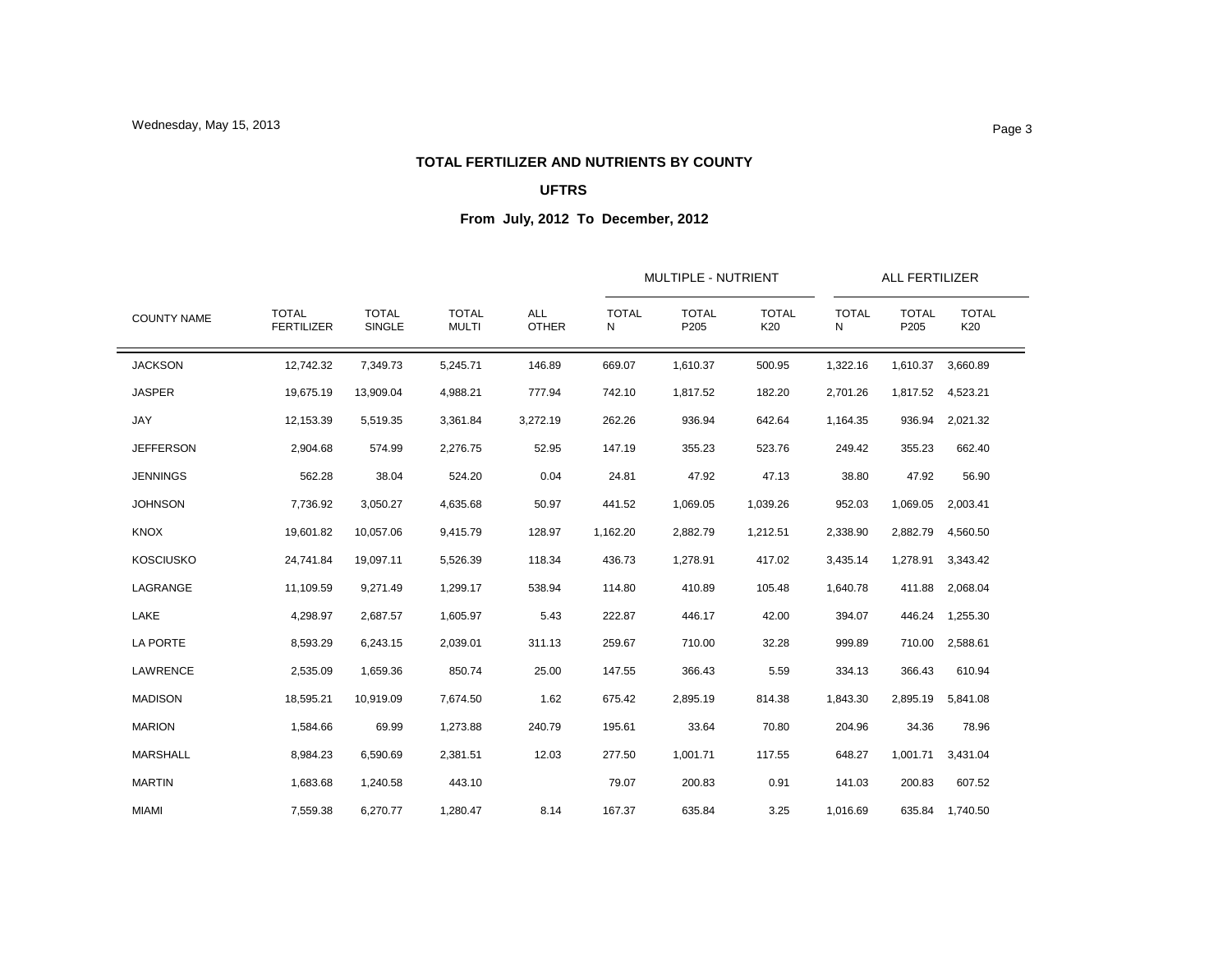### **TOTAL FERTILIZER AND NUTRIENTS BY COUNTY**

## **UFTRS**

|                    |                                   |                               |                              |                            |                   | <b>MULTIPLE - NUTRIENT</b> |                     | <b>ALL FERTILIZER</b> |                      |                     |
|--------------------|-----------------------------------|-------------------------------|------------------------------|----------------------------|-------------------|----------------------------|---------------------|-----------------------|----------------------|---------------------|
| <b>COUNTY NAME</b> | <b>TOTAL</b><br><b>FERTILIZER</b> | <b>TOTAL</b><br><b>SINGLE</b> | <b>TOTAL</b><br><b>MULTI</b> | <b>ALL</b><br><b>OTHER</b> | <b>TOTAL</b><br>Ν | <b>TOTAL</b><br>P205       | <b>TOTAL</b><br>K20 | <b>TOTAL</b><br>N     | <b>TOTAL</b><br>P205 | <b>TOTAL</b><br>K20 |
| <b>JACKSON</b>     | 12,742.32                         | 7,349.73                      | 5,245.71                     | 146.89                     | 669.07            | 1,610.37                   | 500.95              | 1,322.16              | 1,610.37             | 3,660.89            |
| <b>JASPER</b>      | 19,675.19                         | 13,909.04                     | 4,988.21                     | 777.94                     | 742.10            | 1,817.52                   | 182.20              | 2,701.26              | 1,817.52             | 4,523.21            |
| JAY                | 12,153.39                         | 5,519.35                      | 3,361.84                     | 3,272.19                   | 262.26            | 936.94                     | 642.64              | 1,164.35              | 936.94               | 2,021.32            |
| <b>JEFFERSON</b>   | 2,904.68                          | 574.99                        | 2,276.75                     | 52.95                      | 147.19            | 355.23                     | 523.76              | 249.42                | 355.23               | 662.40              |
| <b>JENNINGS</b>    | 562.28                            | 38.04                         | 524.20                       | 0.04                       | 24.81             | 47.92                      | 47.13               | 38.80                 | 47.92                | 56.90               |
| <b>JOHNSON</b>     | 7,736.92                          | 3,050.27                      | 4,635.68                     | 50.97                      | 441.52            | 1,069.05                   | 1,039.26            | 952.03                | 1,069.05             | 2,003.41            |
| <b>KNOX</b>        | 19,601.82                         | 10,057.06                     | 9,415.79                     | 128.97                     | 1,162.20          | 2,882.79                   | 1,212.51            | 2,338.90              | 2,882.79             | 4,560.50            |
| <b>KOSCIUSKO</b>   | 24,741.84                         | 19,097.11                     | 5,526.39                     | 118.34                     | 436.73            | 1,278.91                   | 417.02              | 3,435.14              | 1,278.91             | 3,343.42            |
| LAGRANGE           | 11,109.59                         | 9,271.49                      | 1,299.17                     | 538.94                     | 114.80            | 410.89                     | 105.48              | 1,640.78              | 411.88               | 2,068.04            |
| LAKE               | 4,298.97                          | 2,687.57                      | 1,605.97                     | 5.43                       | 222.87            | 446.17                     | 42.00               | 394.07                | 446.24               | 1,255.30            |
| LA PORTE           | 8,593.29                          | 6,243.15                      | 2,039.01                     | 311.13                     | 259.67            | 710.00                     | 32.28               | 999.89                | 710.00               | 2,588.61            |
| LAWRENCE           | 2,535.09                          | 1,659.36                      | 850.74                       | 25.00                      | 147.55            | 366.43                     | 5.59                | 334.13                | 366.43               | 610.94              |
| <b>MADISON</b>     | 18,595.21                         | 10.919.09                     | 7,674.50                     | 1.62                       | 675.42            | 2,895.19                   | 814.38              | 1,843.30              | 2,895.19             | 5,841.08            |
| <b>MARION</b>      | 1,584.66                          | 69.99                         | 1,273.88                     | 240.79                     | 195.61            | 33.64                      | 70.80               | 204.96                | 34.36                | 78.96               |
| MARSHALL           | 8,984.23                          | 6,590.69                      | 2,381.51                     | 12.03                      | 277.50            | 1,001.71                   | 117.55              | 648.27                | 1,001.71             | 3,431.04            |
| <b>MARTIN</b>      | 1,683.68                          | 1,240.58                      | 443.10                       |                            | 79.07             | 200.83                     | 0.91                | 141.03                | 200.83               | 607.52              |
| <b>MIAMI</b>       | 7,559.38                          | 6,270.77                      | 1,280.47                     | 8.14                       | 167.37            | 635.84                     | 3.25                | 1,016.69              |                      | 635.84 1,740.50     |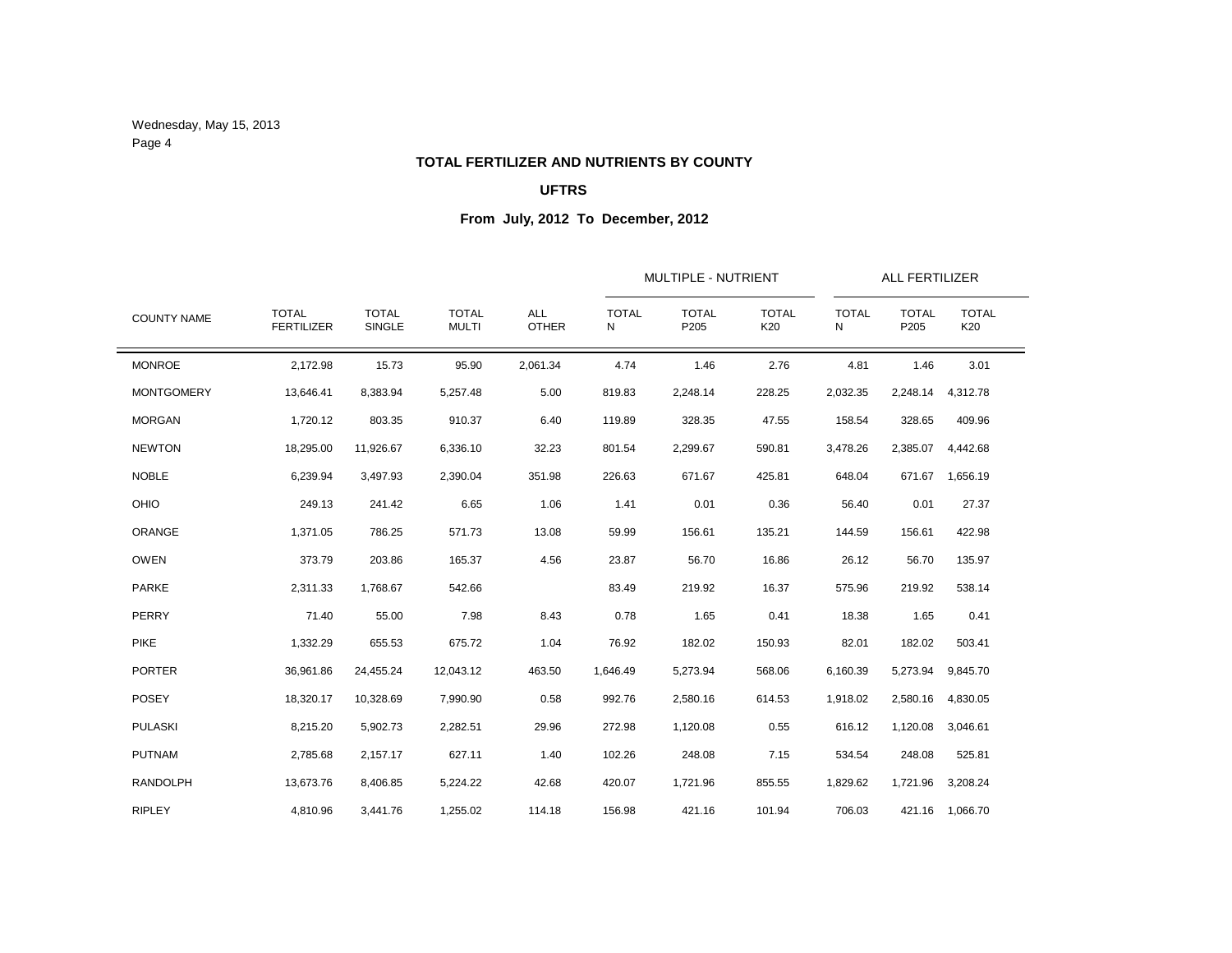Wednesday, May 15, 2013 Page 4

# **TOTAL FERTILIZER AND NUTRIENTS BY COUNTY**

## **UFTRS**

|                    |                                   |                        |                              |                            |                                                                                                                                                                                                                                                                                                                                                                                                                                                                                                                                                                                                                                                                                                                                                                                                                                                                                                                                                           | MULTIPLE - NUTRIENT |        | <b>ALL FERTILIZER</b> |  |          |  |
|--------------------|-----------------------------------|------------------------|------------------------------|----------------------------|-----------------------------------------------------------------------------------------------------------------------------------------------------------------------------------------------------------------------------------------------------------------------------------------------------------------------------------------------------------------------------------------------------------------------------------------------------------------------------------------------------------------------------------------------------------------------------------------------------------------------------------------------------------------------------------------------------------------------------------------------------------------------------------------------------------------------------------------------------------------------------------------------------------------------------------------------------------|---------------------|--------|-----------------------|--|----------|--|
| <b>COUNTY NAME</b> | <b>TOTAL</b><br><b>FERTILIZER</b> | <b>TOTAL</b><br>SINGLE | <b>TOTAL</b><br><b>MULTI</b> | <b>ALL</b><br><b>OTHER</b> | <b>TOTAL</b><br><b>TOTAL</b><br><b>TOTAL</b><br><b>TOTAL</b><br><b>TOTAL</b><br>P205<br>K20<br>P205<br>N<br>N<br>4.74<br>1.46<br>2.76<br>4.81<br>1.46<br>819.83<br>2,248.14<br>228.25<br>2,032.35<br>2,248.14<br>119.89<br>328.35<br>47.55<br>158.54<br>328.65<br>2,385.07<br>801.54<br>2,299.67<br>590.81<br>3,478.26<br>226.63<br>671.67<br>425.81<br>648.04<br>671.67<br>0.36<br>1.41<br>0.01<br>56.40<br>0.01<br>59.99<br>156.61<br>135.21<br>144.59<br>156.61<br>23.87<br>56.70<br>16.86<br>26.12<br>56.70<br>83.49<br>219.92<br>16.37<br>575.96<br>219.92<br>0.78<br>1.65<br>0.41<br>18.38<br>1.65<br>76.92<br>182.02<br>150.93<br>82.01<br>182.02<br>1,646.49<br>5,273.94<br>568.06<br>6,160.39<br>5,273.94<br>992.76<br>2,580.16<br>614.53<br>2,580.16<br>1,918.02<br>272.98<br>1,120.08<br>0.55<br>616.12<br>1,120.08<br>102.26<br>248.08<br>7.15<br>534.54<br>248.08<br>420.07<br>1,721.96<br>855.55<br>1,829.62<br>1,721.96<br>421.16 1,066.70 | <b>TOTAL</b><br>K20 |        |                       |  |          |  |
| <b>MONROE</b>      | 2,172.98                          | 15.73                  | 95.90                        | 2,061.34                   |                                                                                                                                                                                                                                                                                                                                                                                                                                                                                                                                                                                                                                                                                                                                                                                                                                                                                                                                                           |                     |        |                       |  | 3.01     |  |
| <b>MONTGOMERY</b>  | 13,646.41                         | 8,383.94               | 5,257.48                     | 5.00                       |                                                                                                                                                                                                                                                                                                                                                                                                                                                                                                                                                                                                                                                                                                                                                                                                                                                                                                                                                           |                     |        |                       |  | 4,312.78 |  |
| <b>MORGAN</b>      | 1,720.12                          | 803.35                 | 910.37                       | 6.40                       |                                                                                                                                                                                                                                                                                                                                                                                                                                                                                                                                                                                                                                                                                                                                                                                                                                                                                                                                                           |                     |        |                       |  | 409.96   |  |
| <b>NEWTON</b>      | 18,295.00                         | 11,926.67              | 6,336.10                     | 32.23                      |                                                                                                                                                                                                                                                                                                                                                                                                                                                                                                                                                                                                                                                                                                                                                                                                                                                                                                                                                           |                     |        |                       |  | 4,442.68 |  |
| <b>NOBLE</b>       | 6,239.94                          | 3,497.93               | 2,390.04                     | 351.98                     |                                                                                                                                                                                                                                                                                                                                                                                                                                                                                                                                                                                                                                                                                                                                                                                                                                                                                                                                                           |                     |        |                       |  | 1,656.19 |  |
| OHIO               | 249.13                            | 241.42                 | 6.65                         | 1.06                       |                                                                                                                                                                                                                                                                                                                                                                                                                                                                                                                                                                                                                                                                                                                                                                                                                                                                                                                                                           |                     |        |                       |  | 27.37    |  |
| ORANGE             | 1,371.05                          | 786.25                 | 571.73                       | 13.08                      |                                                                                                                                                                                                                                                                                                                                                                                                                                                                                                                                                                                                                                                                                                                                                                                                                                                                                                                                                           |                     |        |                       |  | 422.98   |  |
| <b>OWEN</b>        | 373.79                            | 203.86                 | 165.37                       | 4.56                       |                                                                                                                                                                                                                                                                                                                                                                                                                                                                                                                                                                                                                                                                                                                                                                                                                                                                                                                                                           |                     |        |                       |  | 135.97   |  |
| <b>PARKE</b>       | 2,311.33                          | 1,768.67               | 542.66                       |                            |                                                                                                                                                                                                                                                                                                                                                                                                                                                                                                                                                                                                                                                                                                                                                                                                                                                                                                                                                           |                     |        |                       |  | 538.14   |  |
| PERRY              | 71.40                             | 55.00                  | 7.98                         | 8.43                       |                                                                                                                                                                                                                                                                                                                                                                                                                                                                                                                                                                                                                                                                                                                                                                                                                                                                                                                                                           |                     |        |                       |  | 0.41     |  |
| <b>PIKE</b>        | 1,332.29                          | 655.53                 | 675.72                       | 1.04                       |                                                                                                                                                                                                                                                                                                                                                                                                                                                                                                                                                                                                                                                                                                                                                                                                                                                                                                                                                           |                     |        |                       |  | 503.41   |  |
| <b>PORTER</b>      | 36,961.86                         | 24,455.24              | 12,043.12                    | 463.50                     |                                                                                                                                                                                                                                                                                                                                                                                                                                                                                                                                                                                                                                                                                                                                                                                                                                                                                                                                                           |                     |        |                       |  | 9,845.70 |  |
| <b>POSEY</b>       | 18,320.17                         | 10,328.69              | 7,990.90                     | 0.58                       |                                                                                                                                                                                                                                                                                                                                                                                                                                                                                                                                                                                                                                                                                                                                                                                                                                                                                                                                                           |                     |        |                       |  | 4,830.05 |  |
| <b>PULASKI</b>     | 8,215.20                          | 5,902.73               | 2,282.51                     | 29.96                      |                                                                                                                                                                                                                                                                                                                                                                                                                                                                                                                                                                                                                                                                                                                                                                                                                                                                                                                                                           |                     |        |                       |  | 3,046.61 |  |
| <b>PUTNAM</b>      | 2,785.68                          | 2,157.17               | 627.11                       | 1.40                       |                                                                                                                                                                                                                                                                                                                                                                                                                                                                                                                                                                                                                                                                                                                                                                                                                                                                                                                                                           |                     |        |                       |  | 525.81   |  |
| <b>RANDOLPH</b>    | 13,673.76                         | 8,406.85               | 5,224.22                     | 42.68                      |                                                                                                                                                                                                                                                                                                                                                                                                                                                                                                                                                                                                                                                                                                                                                                                                                                                                                                                                                           |                     |        |                       |  | 3,208.24 |  |
| <b>RIPLEY</b>      | 4,810.96                          | 3,441.76               | 1,255.02                     | 114.18                     | 156.98                                                                                                                                                                                                                                                                                                                                                                                                                                                                                                                                                                                                                                                                                                                                                                                                                                                                                                                                                    | 421.16              | 101.94 | 706.03                |  |          |  |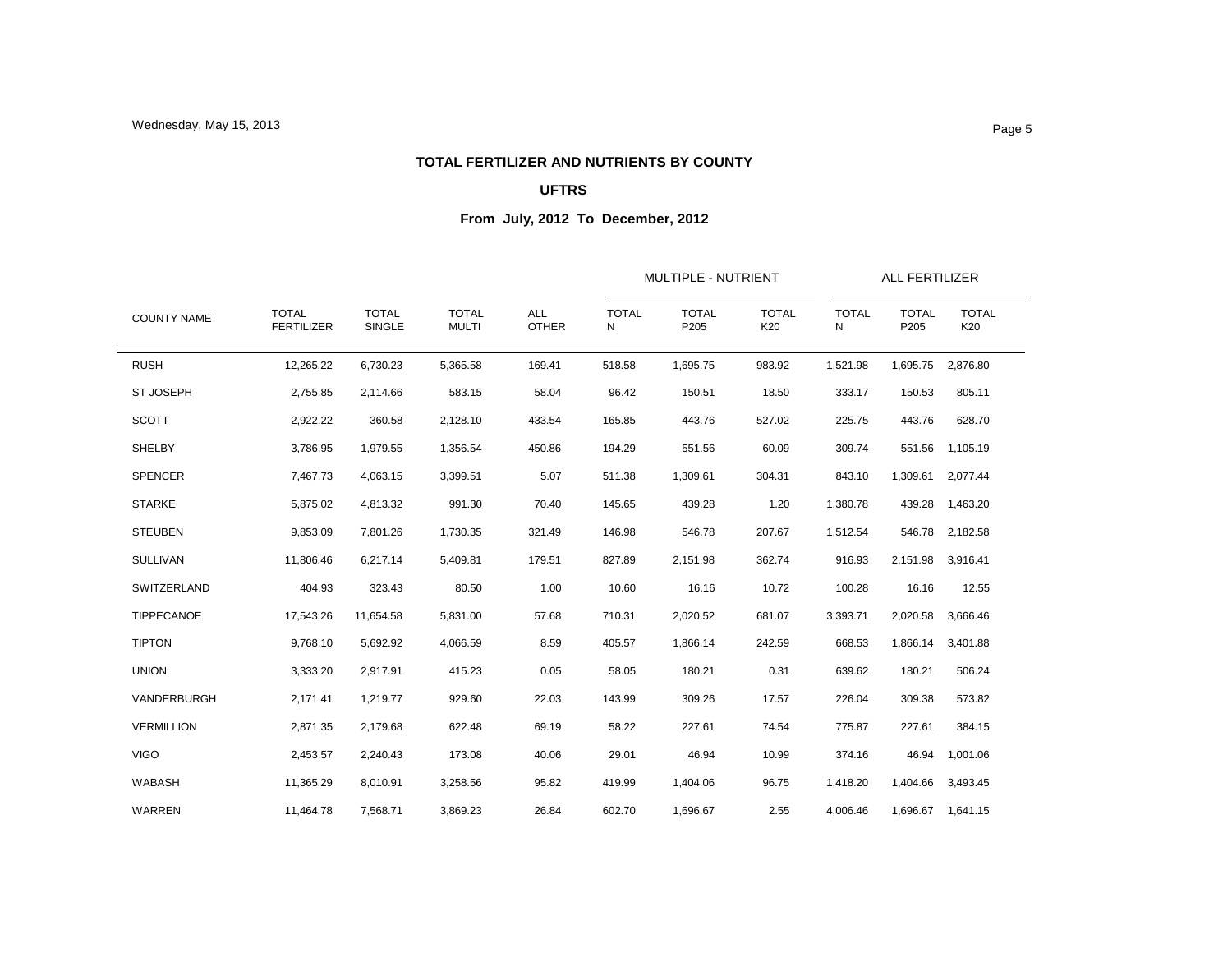### **TOTAL FERTILIZER AND NUTRIENTS BY COUNTY**

## **UFTRS**

|                    |                                   |                        |                              | <b>ALL</b><br><b>OTHER</b> |                   |                      | MULTIPLE - NUTRIENT |                   |                      | ALL FERTILIZER      |  |
|--------------------|-----------------------------------|------------------------|------------------------------|----------------------------|-------------------|----------------------|---------------------|-------------------|----------------------|---------------------|--|
| <b>COUNTY NAME</b> | <b>TOTAL</b><br><b>FERTILIZER</b> | <b>TOTAL</b><br>SINGLE | <b>TOTAL</b><br><b>MULTI</b> |                            | <b>TOTAL</b><br>Ν | <b>TOTAL</b><br>P205 | <b>TOTAL</b><br>K20 | <b>TOTAL</b><br>N | <b>TOTAL</b><br>P205 | <b>TOTAL</b><br>K20 |  |
| <b>RUSH</b>        | 12,265.22                         | 6,730.23               | 5,365.58                     | 169.41                     | 518.58            | 1,695.75             | 983.92              | 1,521.98          | 1,695.75             | 2,876.80            |  |
| <b>ST JOSEPH</b>   | 2,755.85                          | 2,114.66               | 583.15                       | 58.04                      | 96.42             | 150.51               | 18.50               | 333.17            | 150.53               | 805.11              |  |
| <b>SCOTT</b>       | 2,922.22                          | 360.58                 | 2,128.10                     | 433.54                     | 165.85            | 443.76               | 527.02              | 225.75            | 443.76               | 628.70              |  |
| SHELBY             | 3,786.95                          | 1,979.55               | 1,356.54                     | 450.86                     | 194.29            | 551.56               | 60.09               | 309.74            | 551.56               | 1,105.19            |  |
| <b>SPENCER</b>     | 7,467.73                          | 4,063.15               | 3,399.51                     | 5.07                       | 511.38            | 1,309.61             | 304.31              | 843.10            | 1,309.61             | 2,077.44            |  |
| <b>STARKE</b>      | 5,875.02                          | 4,813.32               | 991.30                       | 70.40                      | 145.65            | 439.28               | 1.20                | 1,380.78          | 439.28               | 1,463.20            |  |
| <b>STEUBEN</b>     | 9,853.09                          | 7,801.26               | 1,730.35                     | 321.49                     | 146.98            | 546.78               | 207.67              | 1,512.54          | 546.78               | 2,182.58            |  |
| <b>SULLIVAN</b>    | 11,806.46                         | 6,217.14               | 5,409.81                     | 179.51                     | 827.89            | 2,151.98             | 362.74              | 916.93            | 2,151.98 3,916.41    |                     |  |
| SWITZERLAND        | 404.93                            | 323.43                 | 80.50                        | 1.00                       | 10.60             | 16.16                | 10.72               | 100.28            | 16.16                | 12.55               |  |
| TIPPECANOE         | 17,543.26                         | 11,654.58              | 5,831.00                     | 57.68                      | 710.31            | 2,020.52             | 681.07              | 3,393.71          | 2,020.58             | 3,666.46            |  |
| <b>TIPTON</b>      | 9,768.10                          | 5,692.92               | 4,066.59                     | 8.59                       | 405.57            | 1,866.14             | 242.59              | 668.53            | 1,866.14             | 3,401.88            |  |
| <b>UNION</b>       | 3,333.20                          | 2,917.91               | 415.23                       | 0.05                       | 58.05             | 180.21               | 0.31                | 639.62            | 180.21               | 506.24              |  |
| VANDERBURGH        | 2,171.41                          | 1,219.77               | 929.60                       | 22.03                      | 143.99            | 309.26               | 17.57               | 226.04            | 309.38               | 573.82              |  |
| <b>VERMILLION</b>  | 2,871.35                          | 2,179.68               | 622.48                       | 69.19                      | 58.22             | 227.61               | 74.54               | 775.87            | 227.61               | 384.15              |  |
| <b>VIGO</b>        | 2,453.57                          | 2,240.43               | 173.08                       | 40.06                      | 29.01             | 46.94                | 10.99               | 374.16            | 46.94                | 1,001.06            |  |
| <b>WABASH</b>      | 11,365.29                         | 8,010.91               | 3,258.56                     | 95.82                      | 419.99            | 1,404.06             | 96.75               | 1,418.20          | 1,404.66             | 3,493.45            |  |
| <b>WARREN</b>      | 11.464.78                         | 7.568.71               | 3,869.23                     | 26.84                      | 602.70            | 1,696.67             | 2.55                | 4,006.46          |                      | 1,696.67 1,641.15   |  |